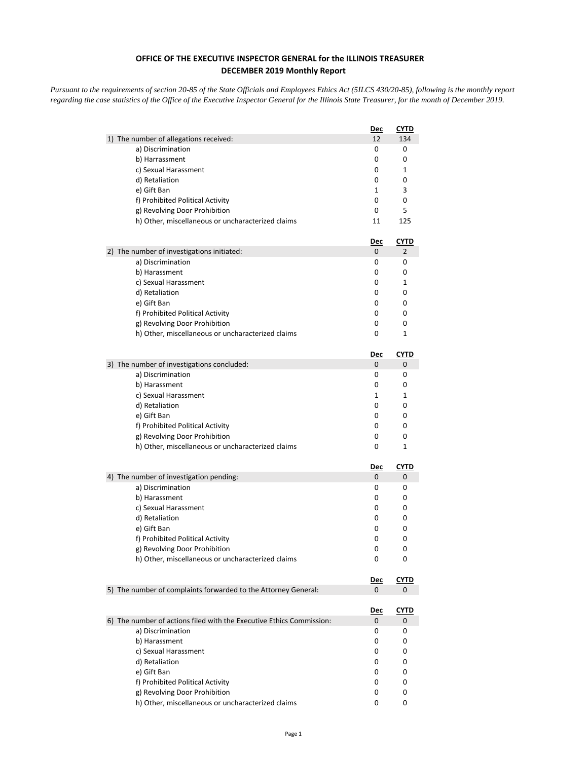## **OFFICE OF THE EXECUTIVE INSPECTOR GENERAL for the ILLINOIS TREASURER DECEMBER 2019 Monthly Report**

*Pursuant to the requirements of section 20-85 of the State Officials and Employees Ethics Act (5ILCS 430/20-85), following is the monthly report regarding the case statistics of the Office of the Executive Inspector General for the Illinois State Treasurer, for the month of December 2019.* 

|                                                                      | <u>Dec</u>      | <u>CYTD</u>      |
|----------------------------------------------------------------------|-----------------|------------------|
| 1) The number of allegations received:                               | 12              | 134              |
| a) Discrimination                                                    | 0               | 0                |
| b) Harrassment                                                       | 0               | 0                |
| c) Sexual Harassment                                                 | 0               | 1                |
| d) Retaliation                                                       | 0               | 0                |
| e) Gift Ban                                                          | 1               | 3                |
| f) Prohibited Political Activity                                     | 0               | 0                |
| g) Revolving Door Prohibition                                        | 0               | 5                |
| h) Other, miscellaneous or uncharacterized claims                    | 11              | 125              |
|                                                                      | Dec             | <b>CYTD</b>      |
| 2) The number of investigations initiated:                           | 0               | 2                |
| a) Discrimination                                                    | 0               | 0                |
| b) Harassment                                                        | 0               | 0                |
| c) Sexual Harassment                                                 | 0               | 1                |
| d) Retaliation                                                       | 0               | 0                |
| e) Gift Ban                                                          | 0               | 0                |
| f) Prohibited Political Activity                                     | 0               | 0                |
| g) Revolving Door Prohibition                                        | 0               | 0                |
| h) Other, miscellaneous or uncharacterized claims                    | 0               | 1                |
|                                                                      | <u>Dec</u>      | CYTD             |
| 3) The number of investigations concluded:                           | 0               | 0                |
| a) Discrimination                                                    | 0               | 0                |
| b) Harassment                                                        | 0               | 0                |
| c) Sexual Harassment                                                 | 1               | 1                |
| d) Retaliation                                                       | 0               | 0                |
| e) Gift Ban                                                          | 0               | 0                |
| f) Prohibited Political Activity                                     | 0               | 0                |
| g) Revolving Door Prohibition                                        | 0               | 0                |
| h) Other, miscellaneous or uncharacterized claims                    | 0               | 1                |
|                                                                      | <u>Dec</u>      | <u>CYTD</u>      |
| 4) The number of investigation pending:                              | 0               | 0                |
| a) Discrimination                                                    | 0               | 0                |
| b) Harassment                                                        | 0               | 0                |
| c) Sexual Harassment                                                 | 0               | 0                |
| d) Retaliation                                                       | 0               | 0                |
| e) Gift Ban                                                          | 0               | 0                |
| f) Prohibited Political Activity                                     | 0               | 0                |
| g) Revolving Door Prohibition                                        | 0               | 0                |
| h) Other, miscellaneous or uncharacterized claims                    | 0               | 0                |
|                                                                      | <u>Dec</u>      | <u>CYTD</u>      |
| 5) The number of complaints forwarded to the Attorney General:       | 0               | 0                |
|                                                                      |                 |                  |
| 6) The number of actions filed with the Executive Ethics Commission: | <u>Dec</u><br>0 | <b>CYTD</b><br>0 |
| a) Discrimination                                                    | 0               | 0                |
| b) Harassment                                                        | 0               | 0                |
| c) Sexual Harassment                                                 | 0               | 0                |
| d) Retaliation                                                       | 0               | 0                |
| e) Gift Ban                                                          | 0               | 0                |
| f) Prohibited Political Activity                                     | 0               | 0                |
| g) Revolving Door Prohibition                                        | 0               | 0                |
| h) Other, miscellaneous or uncharacterized claims                    | 0               | 0                |
|                                                                      |                 |                  |